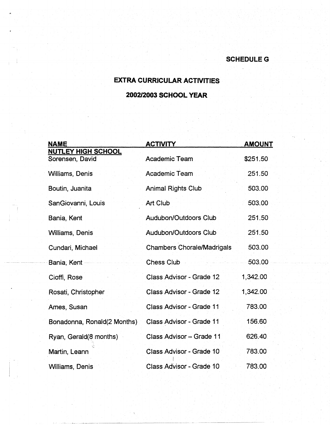## **SCHEDULEG**

## **EXTRA CURRICULAR ACTIVITIES**

## **2002/2003 SCHOOL YEAR**

| <b>NAME</b>                                  | <b>ACTIVITY</b>                   | <b>AMOUNT</b> |
|----------------------------------------------|-----------------------------------|---------------|
| <b>NUTLEY HIGH SCHOOL</b><br>Sorensen, David | <b>Academic Team</b>              | \$251.50      |
| <b>Williams, Denis</b>                       | Academic Team                     | 251.50        |
| Boutin, Juanita                              | <b>Animal Rights Club</b>         | 503.00        |
| SanGiovanni, Louis                           | Art Club                          | 503.00        |
| Bania, Kent                                  | <b>Audubon/Outdoors Club</b>      | 251.50        |
| <b>Williams, Denis</b>                       | Audubon/Outdoors Club             | 251.50        |
| Cundari, Michael                             | <b>Chambers Chorale/Madrigals</b> | 503.00        |
| Bania, Kent -                                | <b>Chess Club</b>                 | 503.00        |
| Cioffi, Rose                                 | Class Advisor - Grade 12          | 1,342.00      |
| Rosati, Christopher                          | Class Advisor - Grade 12          | 1,342.00      |
| Ames, Susan                                  | Class Advisor - Grade 11          | 783.00        |
| Bonadonna, Ronald(2 Months)                  | <b>Class Advisor - Grade 11</b>   | 156.60        |
| Ryan, Gerald(8 months)                       | Class Advisor - Grade 11          | 626.40        |
| Martin, Leann                                | Class Advisor - Grade 10          | 783.00        |
| <b>Williams, Denis</b>                       | Class Advisor - Grade 10          | 783.00        |

. --- -------- ---------

 $\mathbf{I}$  . If  $\mathbf{I}$  is a subset of  $\mathbf{I}$  . If  $\mathbf{I}$  is a subset of  $\mathbf{I}$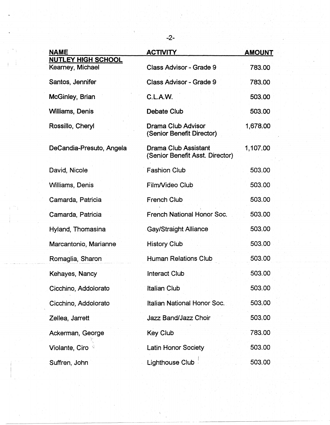| <b>NAME</b>                                   | <b>ACTIVITY</b>                                                | <b>AMOUNT</b> |
|-----------------------------------------------|----------------------------------------------------------------|---------------|
| <b>NUTLEY HIGH SCHOOL</b><br>Kearney, Michael | Class Advisor - Grade 9                                        | 783.00        |
| Santos, Jennifer                              | <b>Class Advisor - Grade 9</b>                                 | 783.00        |
| McGinley, Brian                               | C.L.A.W.                                                       | 503.00        |
| <b>Williams, Denis</b>                        | <b>Debate Club</b>                                             | 503.00        |
| Rossillo, Cheryl                              | Drama Club Advisor<br>(Senior Benefit Director)                | 1,678.00      |
| DeCandia-Presuto, Angela                      | <b>Drama Club Assistant</b><br>(Senior Benefit Asst. Director) | 1,107.00      |
| David, Nicole                                 | <b>Fashion Club</b>                                            | 503.00        |
| Williams, Denis                               | Film/Video Club                                                | 503.00        |
| Camarda, Patricia                             | <b>French Club</b>                                             | 503.00        |
| Camarda, Patricia                             | <b>French National Honor Soc.</b>                              | 503.00        |
| Hyland, Thomasina                             | <b>Gay/Straight Alliance</b>                                   | 503.00        |
| Marcantonio, Marianne                         | <b>History Club</b>                                            | 503.00        |
| Romaglia, Sharon                              | <b>Human Relations Club</b>                                    | 503.00        |
| Kehayes, Nancy                                | <b>Interact Club</b>                                           | 503.00        |
| Cicchino, Addolorato                          | <b>Italian Club</b>                                            | 503.00        |
| Cicchino, Addolorato                          | Italian National Honor Soc.                                    | 503.00        |
| Zellea, Jarrett                               | Jazz Band/Jazz Choir                                           | 503.00        |
| Ackerman, George                              | Key Club                                                       | 783.00        |
| Violante, Ciro                                | Latin Honor Society                                            | 503.00        |
| Suffren, John                                 | <b>Lighthouse Club</b>                                         | 503.00        |

-2-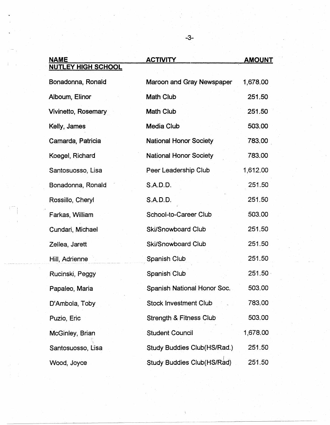| <b>NAME</b>               | <b>ACTIVITY</b>                    | <b>AMOUNT</b> |
|---------------------------|------------------------------------|---------------|
| <b>NUTLEY HIGH SCHOOL</b> |                                    |               |
| Bonadonna, Ronald         | Maroon and Gray Newspaper          | 1,678.00      |
| Alboum, Elinor            | <b>Math Club</b>                   | 251.50        |
| Vivinetto, Rosemary       | <b>Math Club</b>                   | 251.50        |
| Kelly, James              | <b>Media Club</b>                  | 503.00        |
| Camarda, Patricia         | <b>National Honor Society</b>      | 783.00        |
| Koegel, Richard           | <b>National Honor Society</b>      | 783.00        |
| Santosuosso, Lisa         | Peer Leadership Club               | 1,612.00      |
| Bonadonna, Ronald         | S.A.D.D.                           | 251.50        |
| Rossillo, Cheryl          | <b>S.A.D.D.</b>                    | 251.50        |
| Farkas, William           | School-to-Career Club              | 503.00        |
| Cundari, Michael          | <b>Ski/Snowboard Club</b>          | 251.50        |
| Zellea, Jarett            | <b>Ski/Snowboard Club</b>          | 251.50        |
| Hill, Adrienne            | Spanish Club                       | 251.50        |
| Rucinski, Peggy           | Spanish Club                       | 251.50        |
| Papaleo, Maria            | Spanish National Honor Soc.        | 503.00        |
| D'Ambola, Toby            | <b>Stock Investment Club</b>       | 783.00        |
| Puzio, Eric               | <b>Strength &amp; Fitness Club</b> | 503.00        |
| McGinley, Brian           | <b>Student Council</b>             | 1,678.00      |
| Santosuosso, Lisa         | Study Buddies Club(HS/Rad.)        | 251.50        |
| Wood, Joyce               | <b>Study Buddies Club(HS/Rad)</b>  | 251.50        |

-3-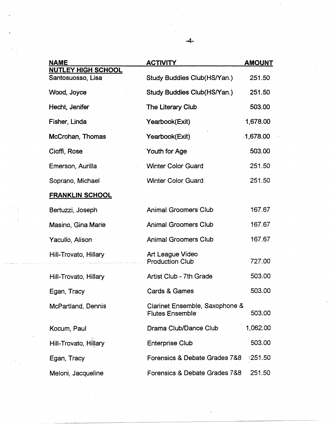| <b>NAME</b>                                    | <b>ACTIVITY</b>                                          | <b>AMOUNT</b> |
|------------------------------------------------|----------------------------------------------------------|---------------|
| <b>NUTLEY HIGH SCHOOL</b><br>Santosuosso, Lisa | Study Buddies Club(HS/Yan.)                              | 251.50        |
| Wood, Joyce                                    | Study Buddies Club(HS/Yan.)                              | 251.50        |
| Hecht, Jenifer                                 | The Literary Club                                        | 503.00        |
| Fisher, Linda                                  | Yearbook(Exit)                                           | 1,678.00      |
| McCrohan, Thomas                               | Yearbook(Exit)                                           | 1,678.00      |
| Cioffi, Rose                                   | Youth for Age                                            | 503.00        |
| Emerson, Aurilla                               | <b>Winter Color Guard</b>                                | 251.50        |
| Soprano, Michael                               | <b>Winter Color Guard</b>                                | 251.50        |
| <b>FRANKLIN SCHOOL</b>                         |                                                          |               |
| Bertuzzi, Joseph                               | <b>Animal Groomers Club</b>                              | 167.67        |
| Masino, Gina Marie                             | <b>Animal Groomers Club</b>                              | 167.67        |
| Yacullo, Alison                                | <b>Animal Groomers Club</b>                              | 167.67        |
| Hill-Trovato, Hillary                          | Art League Video<br><b>Production Club</b>               | 727.00        |
| Hill-Trovato, Hillary                          | Artist Club - 7th Grade                                  | 503.00        |
| Egan, Tracy                                    | <b>Cards &amp; Games</b>                                 | 503.00        |
| McPartland, Dennis                             | Clarinet Ensemble, Saxophone &<br><b>Flutes Ensemble</b> | 503.00        |
| Kocum, Paul                                    | Drama Club/Dance Club                                    | 1,062.00      |
| Hill-Trovato, Hillary                          | <b>Enterprise Club</b>                                   | 503.00        |
| Egan, Tracy                                    | Forensics & Debate Grades 7&8                            | 1251.50       |
| Meloni, Jacqueline                             | Forensics & Debate Grades 7&8                            | 251.50        |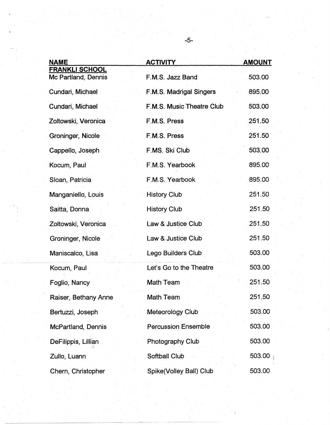| <b>NAME</b>                                  | <b>ACTIVITY</b>            | <b>AMOUNT</b> |
|----------------------------------------------|----------------------------|---------------|
| <b>FRANKLI SCHOOL</b><br>Mc Partland, Dennis | F.M.S. Jazz Band           | 503.00        |
| Cundari, Michael                             | F.M.S. Madrigal Singers    | 895.00        |
| Cundari, Michael                             | F.M.S. Music Theatre Club  | 503.00        |
| Zoltowski, Veronica                          | F.M.S. Press               | 251.50        |
| Groninger, Nicole                            | F.M.S. Press               | 251.50        |
| Cappello, Joseph                             | F.MS. Ski Club             | 503.00        |
| Kocum, Paul                                  | F.M.S. Yearbook            | 895.00        |
| Sloan, Patricia                              | F.M.S. Yearbook            | 895.00        |
| Manganiello, Louis                           | <b>History Club</b>        | 251.50        |
| Saitta, Donna                                | <b>History Club</b>        | 251.50        |
| Zoltowski, Veronica                          | Law & Justice Club         | 251.50        |
| Groninger, Nicole                            | Law & Justice Club         | 251.50        |
| Maniscalco, Lisa                             | Lego Builders Club         | 503.00        |
| Kocum, Paul                                  | Let's Go to the Theatre    | 503.00        |
| Foglio, Nancy                                | <b>Math Team</b>           | 251.50        |
| Raiser, Bethany Anne                         | <b>Math Team</b>           | 251.50        |
| Bertuzzi, Joseph                             | Meteorology Club           | 503.00        |
| McPartland, Dennis                           | <b>Percussion Ensemble</b> | 503.00        |
| DeFilippis, Lillian                          | Photography Club           | 503.00        |
| Zullo, Luann                                 | Softball Club              | 503.00        |
| Chern, Christopher                           | Spike(Volley Ball) Club    | 503.00        |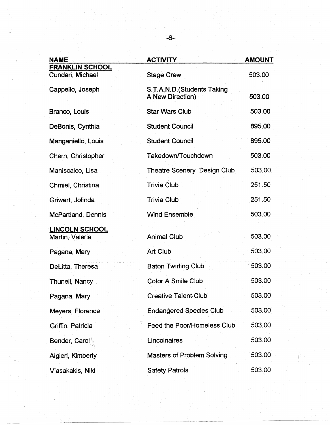| <b>NAME</b>                                | <b>ACTIVITY</b>                                 | <b>AMOUNT</b> |
|--------------------------------------------|-------------------------------------------------|---------------|
| <b>FRANKLIN SCHOOL</b><br>Cundari, Michael | <b>Stage Crew</b>                               | 503.00        |
| Cappello, Joseph                           | S.T.A.N.D. (Students Taking<br>A New Direction) | 503.00        |
| Branco, Louis                              | <b>Star Wars Club</b>                           | 503.00        |
| DeBonis, Cynthia                           | <b>Student Council</b>                          | 895.00        |
| Manganiello, Louis                         | <b>Student Council</b>                          | 895.00        |
| Chern, Christopher                         | Takedown/Touchdown                              | 503.00        |
| Maniscalco, Lisa                           | <b>Theatre Scenery Design Club</b>              | 503.00        |
| Chmiel, Christina                          | <b>Trivia Club</b>                              | 251.50        |
| Griwert, Jolinda                           | <b>Trivia Club</b>                              | 251.50        |
| McPartland, Dennis                         | <b>Wind Ensemble</b>                            | 503.00        |
| <b>LINCOLN SCHOOL</b><br>Martin, Valerie   | <b>Animal Club</b>                              | 503.00        |
| Pagana, Mary                               | <b>Art Club</b>                                 | 503.00        |
| DeLitta, Theresa                           | <b>Baton Twirling Club.</b>                     | 503.00        |
| Thunell, Nancy                             | Color A Smile Club                              | 503.00        |
| Pagana, Mary                               | <b>Creative Talent Club</b>                     | 503.00        |
| Meyers, Florence                           | <b>Endangered Species Club</b>                  | 503.00        |
| Griffin, Patricia                          | <b>Feed the Poor/Homeless Club</b>              | 503.00        |
| <b>Bender, Carol</b>                       | Lincolnaires                                    | 503.00        |
| Algieri, Kimberly                          | <b>Masters of Problem Solving</b>               | 503.00        |
| Vlasakakis, Niki                           | <b>Safety Patrols</b>                           | 503.00        |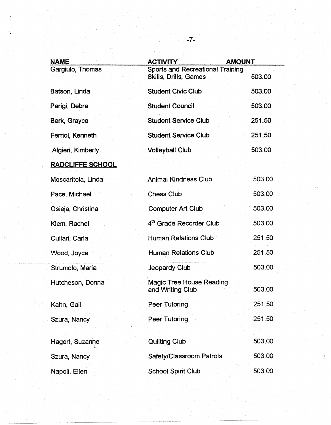| <b>NAME</b>             | <b>ACTIVITY</b>                                                         | <b>AMOUNT</b> |
|-------------------------|-------------------------------------------------------------------------|---------------|
| Gargiulo, Thomas        | <b>Sports and Recreational Training</b><br><b>Skills, Drills, Games</b> | 503.00        |
| Batson, Linda           | <b>Student Civic Club</b>                                               | 503.00        |
| Parigi, Debra           | <b>Student Council</b>                                                  | 503.00        |
| Berk, Grayce            | <b>Student Service Club</b>                                             | 251.50        |
| Ferriol, Kenneth        | <b>Student Service Club</b>                                             | 251.50        |
| Algieri, Kimberly       | <b>Volleyball Club</b>                                                  | 503.00        |
| <b>RADCLIFFE SCHOOL</b> |                                                                         |               |
| Moscaritola, Linda      | <b>Animal Kindness Club</b>                                             | 503.00        |
| Pace, Michael           | <b>Chess Club</b>                                                       | 503.00        |
| Osieja, Christina       | <b>Computer Art Club</b>                                                | 503.00        |
| Klem, Rachel            | 4th Grade Recorder Club                                                 | 503.00        |
| Cullari, Carla          | <b>Human Relations Club</b>                                             | 251.50        |
| Wood, Joyce             | <b>Human Relations Club</b>                                             | 251.50        |
| Strumolo, Maria         | Jeopardy Club                                                           | 503.00        |
| Hutcheson, Donna        | <b>Magic Tree House Reading</b><br>and Writing Club                     | 503.00        |
| Kahn, Gail              | Peer Tutoring                                                           | 251.50        |
| Szura, Nancy            | Peer Tutoring                                                           | 251.50        |
| Hagert, Suzanne         | <b>Quilting Club</b>                                                    | 503.00        |
| Szura, Nancy            | <b>Safety/Classroom Patrols</b>                                         | 503.00        |
| Napoli, Ellen           | <b>School Spirit Club</b>                                               | 503.00        |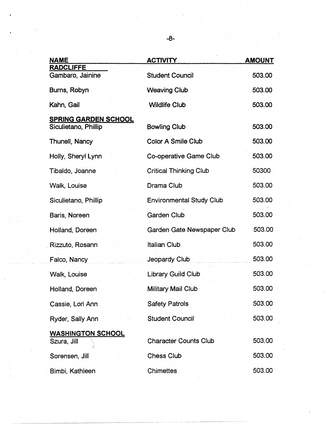| <b>NAME</b>                                         | <b>ACTIVITY</b>                 | <b>AMOUNT</b> |
|-----------------------------------------------------|---------------------------------|---------------|
| <b>RADCLIFFE</b><br>Gambaro, Jainine                | <b>Student Council</b>          | 503.00        |
| Burns, Robyn                                        | <b>Weaving Club</b>             | 503.00        |
| Kahn, Gail                                          | <b>Wildlife Club</b>            | 503.00        |
| <b>SPRING GARDEN SCHOOL</b><br>Siculietano, Phillip | <b>Bowling Club</b>             | 503.00        |
| <b>Thunell, Nancy</b>                               | Color A Smile Club              | 503.00        |
| Holly, Sheryl Lynn                                  | Co-operative Game Club          | 503.00        |
| Tibaldo, Joanne                                     | <b>Critical Thinking Club</b>   | 50300         |
| Walk, Louise                                        | Drama Club                      | 503.00        |
| Siculietano, Phillip                                | <b>Environmental Study Club</b> | 503.00        |
| Baris, Noreen                                       | <b>Garden Club</b>              | 503.00        |
| Holland, Doreen                                     | Garden Gate Newspaper Club      | 503.00        |
| Rizzuto, Rosann                                     | <b>Italian Club</b>             | 503.00        |
| Falco, Nancy                                        | Jeopardy Club                   | 503.00        |
| Walk, Louise                                        | Library Guild Club              | 503.00        |
| Holland, Doreen                                     | Military Mail Club              | 503.00        |
| Cassie, Lori Ann                                    | <b>Safety Patrols</b>           | 503.00        |
| Ryder, Sally Ann                                    | <b>Student Council</b>          | 503.00        |
| <b>WASHINGTON SCHOOL</b><br>Szura, Jill             | <b>Character Counts Club</b>    | 503.00        |
| Sorensen, Jill                                      | <b>Chess Club</b>               | 503.00        |
| Bimbi, Kathleen                                     | <b>Chimettes</b>                | 503.00        |

-···--·-·· - -------------~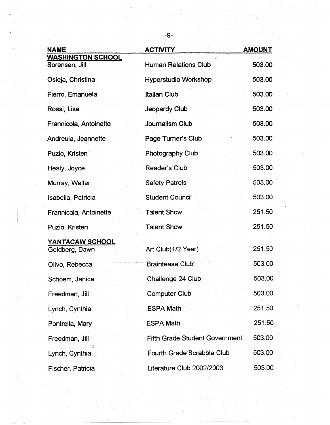| <b>NAME</b>                                | <b>ACTIVITY</b>                       | <b>AMOUNT</b> |
|--------------------------------------------|---------------------------------------|---------------|
| <b>WASHINGTON SCHOOL</b><br>Sorensen, Jill | <b>Human Relations Club</b>           | 503.00        |
| Osieja, Christina                          | <b>Hyperstudio Workshop</b>           | 503.00        |
| Fierro, Emanuela                           | <b>Italian Club</b>                   | 503.00        |
| Rossi, Lisa                                | Jeopardy Club                         | 503.00        |
| Frannicola, Antoinette                     | Journalism Club                       | 503.00        |
| Andreula, Jeannette                        | Page Turner's Club                    | 503.00        |
| Puzio, Kristen                             | <b>Photography Club</b>               | 503.00        |
| Healy, Joyce                               | Reader's Club                         | 503.00        |
| Murray, Walter                             | <b>Safety Patrols</b>                 | 503.00        |
| Isabella, Patricia                         | <b>Student Council</b>                | 503.00        |
| Frannicola, Antoinette                     | <b>Talent Show</b>                    | 251.50        |
| Puzio, Kristen                             | <b>Talent Show</b>                    | 251.50        |
| YANTACAW SCHOOL<br>Goldberg, Dawn          | Art Club(1/2 Year)                    | 251.50        |
| Olivo, Rebecca                             | <b>Braintease Club</b>                | 503.00        |
| Schoem, Janice                             | Challenge 24 Club                     | 503.00        |
| Freedman, Jill                             | <b>Computer Club</b>                  | 503.00        |
| Lynch, Cynthia                             | <b>ESPA Math</b>                      | 251.50        |
| Pontrella, Mary                            | <b>ESPA Math</b>                      | 251.50        |
| Freedman, Jill                             | <b>Fifth Grade Student Government</b> | 503.00        |
| Lynch, Cynthia                             | Fourth Grade Scrabble Club            | 503.00        |
| Fischer, Patricia                          | Literature Club 2002/2003             | 503.00        |

~~~~~~~~~~~ ------~~---- ------

-9-